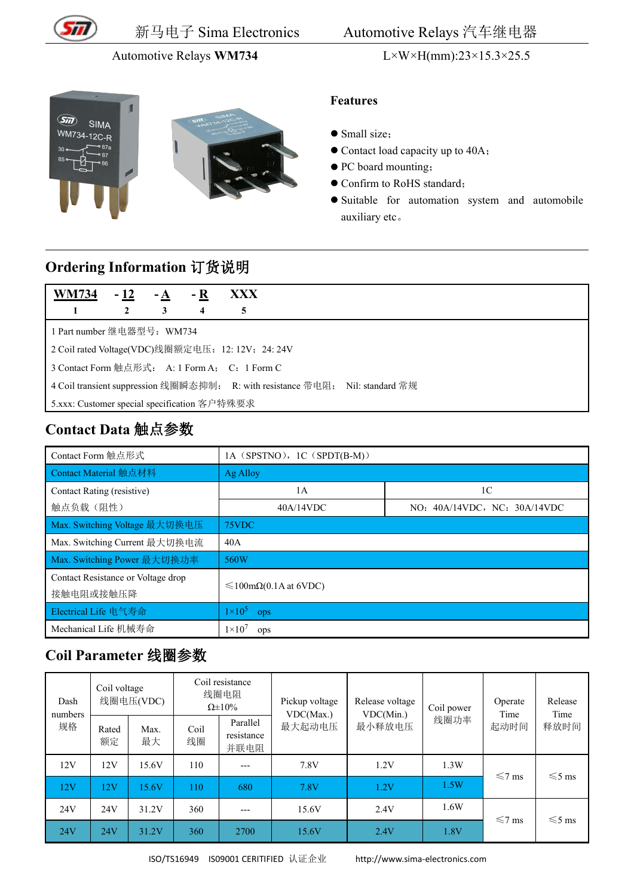

新马电子 Sima Electronics Automotive Relays 汽车继电器

#### Automotive Relays **WM734** L×W×H(mm):23×15.3×25.5





- Small size;
- Contact load capacity up to 40A;
- $\bullet$  PC board mounting;
- $\bullet$  Confirm to RoHS standard;
- Suitable for automation system and automobile auxiliary etc。

# **Ordering Information** 订货说明

| <b>WM734</b>                                                                  | $-12$                                             | $-A$ | - R | <b>XXX</b> |  |  |  |  |
|-------------------------------------------------------------------------------|---------------------------------------------------|------|-----|------------|--|--|--|--|
|                                                                               |                                                   | 3    | 4   | 5          |  |  |  |  |
| 1 Part number 继电器型号: WM734                                                    |                                                   |      |     |            |  |  |  |  |
|                                                                               | 2 Coil rated Voltage(VDC)线圈额定电压: 12: 12V; 24: 24V |      |     |            |  |  |  |  |
| 3 Contact Form 触点形式: A: 1 Form A; C: 1 Form C                                 |                                                   |      |     |            |  |  |  |  |
| 4 Coil transient suppression 线圈瞬态抑制: R: with resistance 带电阻; Nil: standard 常规 |                                                   |      |     |            |  |  |  |  |
| 5.xxx: Customer special specification 客户特殊要求                                  |                                                   |      |     |            |  |  |  |  |

### **Contact Data** 触点参数

| Contact Form 触点形式                               | 1A (SPSTNO), 1C (SPDT(B-M))              |                              |  |  |  |
|-------------------------------------------------|------------------------------------------|------------------------------|--|--|--|
| Contact Material 触点材料                           | Ag Alloy                                 |                              |  |  |  |
| Contact Rating (resistive)                      | 1A                                       | 1 <sup>C</sup>               |  |  |  |
| 触点负载(阻性)                                        | 40A/14VDC                                | NO: 40A/14VDC, NC: 30A/14VDC |  |  |  |
| Max. Switching Voltage 最大切换电压                   | 75VDC                                    |                              |  |  |  |
| Max. Switching Current 最大切换电流                   | 40A                                      |                              |  |  |  |
| Max. Switching Power 最大切换功率                     | 560W                                     |                              |  |  |  |
| Contact Resistance or Voltage drop<br>接触电阻或接触压降 | $\leq 100 \text{m}\Omega(0.1$ A at 6VDC) |                              |  |  |  |
| Electrical Life 电气寿命                            | $1\times10^5$<br>ops                     |                              |  |  |  |
| Mechanical Life 机械寿命                            | $1 \times 10^7$<br>ops                   |                              |  |  |  |

### **Coil Parameter** 线圈参数

| Dash<br>numbers | Coil voltage<br>线圈电压(VDC) |            | Coil resistance<br>线圈电阻<br>$\Omega \pm 10\%$ |                                | Pickup voltage<br>VDC(Max.) | Release voltage<br>VDC(Min.) | Coil power | Operate<br>Time | Release<br>Time |
|-----------------|---------------------------|------------|----------------------------------------------|--------------------------------|-----------------------------|------------------------------|------------|-----------------|-----------------|
| 规格              | Rated<br>额定               | Max.<br>最大 | Coil<br>线圈                                   | Parallel<br>resistance<br>并联电阻 | 最大起动电压                      | 最小释放电压                       | 线圈功率       | 起动时间            | 释放时间            |
| 12V             | 12V                       | 15.6V      | 110                                          | $---$                          | 7.8V                        | 1.2V                         | 1.3W       | $\leq 7$ ms     | $\leq 5$ ms     |
| 12V             | 12V                       | 15.6V      | 110                                          | 680                            | 7.8V                        | 1.2V                         | 1.5W       |                 |                 |
| 24V             | 24V                       | 31.2V      | 360                                          | $---$                          | 15.6V                       | 2.4V                         | 1.6W       | $\leq 7$ ms     | $\leq 5$ ms     |
| 24V             | 24V                       | 31.2V      | 360                                          | 2700                           | 15.6V                       | 2.4V                         | 1.8V       |                 |                 |